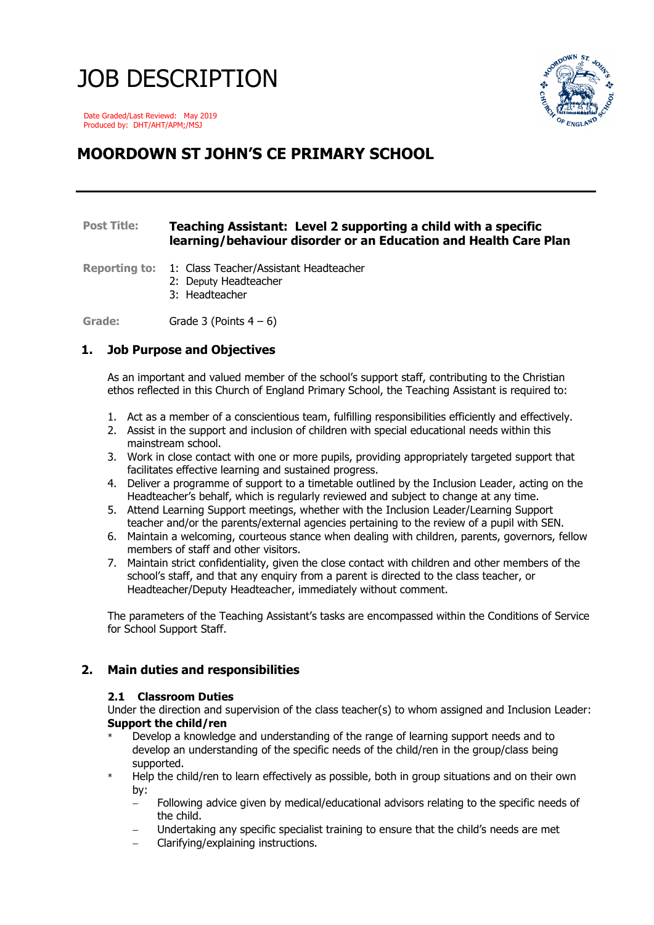# JOB DESCRIPTION



 Date Graded/Last Reviewd: May 2019 Produced by: DHT/AHT/APM;/MSJ

# **MOORDOWN ST JOHN'S CE PRIMARY SCHOOL**

# **Post Title: Teaching Assistant: Level 2 supporting a child with a specific learning/behaviour disorder or an Education and Health Care Plan**

**Reporting to:** 1: Class Teacher/Assistant Headteacher

- 2: Deputy Headteacher
- 3: Headteacher

Grade: Grade 3 (Points 4 – 6)

# **1. Job Purpose and Objectives**

As an important and valued member of the school's support staff, contributing to the Christian ethos reflected in this Church of England Primary School, the Teaching Assistant is required to:

- 1. Act as a member of a conscientious team, fulfilling responsibilities efficiently and effectively.
- 2. Assist in the support and inclusion of children with special educational needs within this mainstream school.
- 3. Work in close contact with one or more pupils, providing appropriately targeted support that facilitates effective learning and sustained progress.
- 4. Deliver a programme of support to a timetable outlined by the Inclusion Leader, acting on the Headteacher's behalf, which is regularly reviewed and subject to change at any time.
- 5. Attend Learning Support meetings, whether with the Inclusion Leader/Learning Support teacher and/or the parents/external agencies pertaining to the review of a pupil with SEN.
- 6. Maintain a welcoming, courteous stance when dealing with children, parents, governors, fellow members of staff and other visitors.
- 7. Maintain strict confidentiality, given the close contact with children and other members of the school's staff, and that any enquiry from a parent is directed to the class teacher, or Headteacher/Deputy Headteacher, immediately without comment.

The parameters of the Teaching Assistant's tasks are encompassed within the Conditions of Service for School Support Staff.

# **2. Main duties and responsibilities**

#### **2.1 Classroom Duties**

Under the direction and supervision of the class teacher(s) to whom assigned and Inclusion Leader: **Support the child/ren**

- Develop a knowledge and understanding of the range of learning support needs and to develop an understanding of the specific needs of the child/ren in the group/class being supported.
- Help the child/ren to learn effectively as possible, both in group situations and on their own by:
	- Following advice given by medical/educational advisors relating to the specific needs of the child.
	- Undertaking any specific specialist training to ensure that the child's needs are met
	- Clarifying/explaining instructions.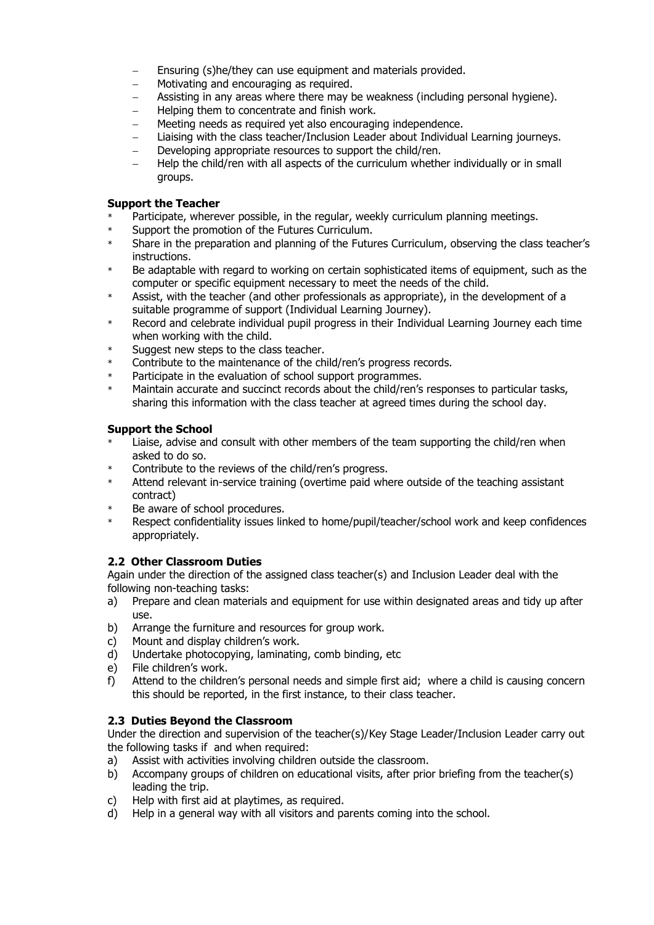- Ensuring (s)he/they can use equipment and materials provided.
- Motivating and encouraging as required.
- Assisting in any areas where there may be weakness (including personal hygiene).
- Helping them to concentrate and finish work.
- Meeting needs as required yet also encouraging independence.
- Liaising with the class teacher/Inclusion Leader about Individual Learning journeys.
- Developing appropriate resources to support the child/ren.
- Help the child/ren with all aspects of the curriculum whether individually or in small groups.

### **Support the Teacher**

- Participate, wherever possible, in the regular, weekly curriculum planning meetings.
- Support the promotion of the Futures Curriculum.
- \* Share in the preparation and planning of the Futures Curriculum, observing the class teacher's instructions.
- Be adaptable with regard to working on certain sophisticated items of equipment, such as the computer or specific equipment necessary to meet the needs of the child.
- Assist, with the teacher (and other professionals as appropriate), in the development of a suitable programme of support (Individual Learning Journey).
- \* Record and celebrate individual pupil progress in their Individual Learning Journey each time when working with the child.
- Suggest new steps to the class teacher.
- Contribute to the maintenance of the child/ren's progress records.
- Participate in the evaluation of school support programmes.
- Maintain accurate and succinct records about the child/ren's responses to particular tasks, sharing this information with the class teacher at agreed times during the school day.

## **Support the School**

- Liaise, advise and consult with other members of the team supporting the child/ren when asked to do so.
- Contribute to the reviews of the child/ren's progress.
- \* Attend relevant in-service training (overtime paid where outside of the teaching assistant contract)
- \* Be aware of school procedures.
- Respect confidentiality issues linked to home/pupil/teacher/school work and keep confidences appropriately.

# **2.2 Other Classroom Duties**

Again under the direction of the assigned class teacher(s) and Inclusion Leader deal with the following non-teaching tasks:

- a) Prepare and clean materials and equipment for use within designated areas and tidy up after use.
- b) Arrange the furniture and resources for group work.
- c) Mount and display children's work.
- d) Undertake photocopying, laminating, comb binding, etc
- e) File children's work.
- f) Attend to the children's personal needs and simple first aid; where a child is causing concern this should be reported, in the first instance, to their class teacher.

# **2.3 Duties Beyond the Classroom**

Under the direction and supervision of the teacher(s)/Key Stage Leader/Inclusion Leader carry out the following tasks if and when required:

- a) Assist with activities involving children outside the classroom.
- b) Accompany groups of children on educational visits, after prior briefing from the teacher(s) leading the trip.
- c) Help with first aid at playtimes, as required.
- d) Help in a general way with all visitors and parents coming into the school.